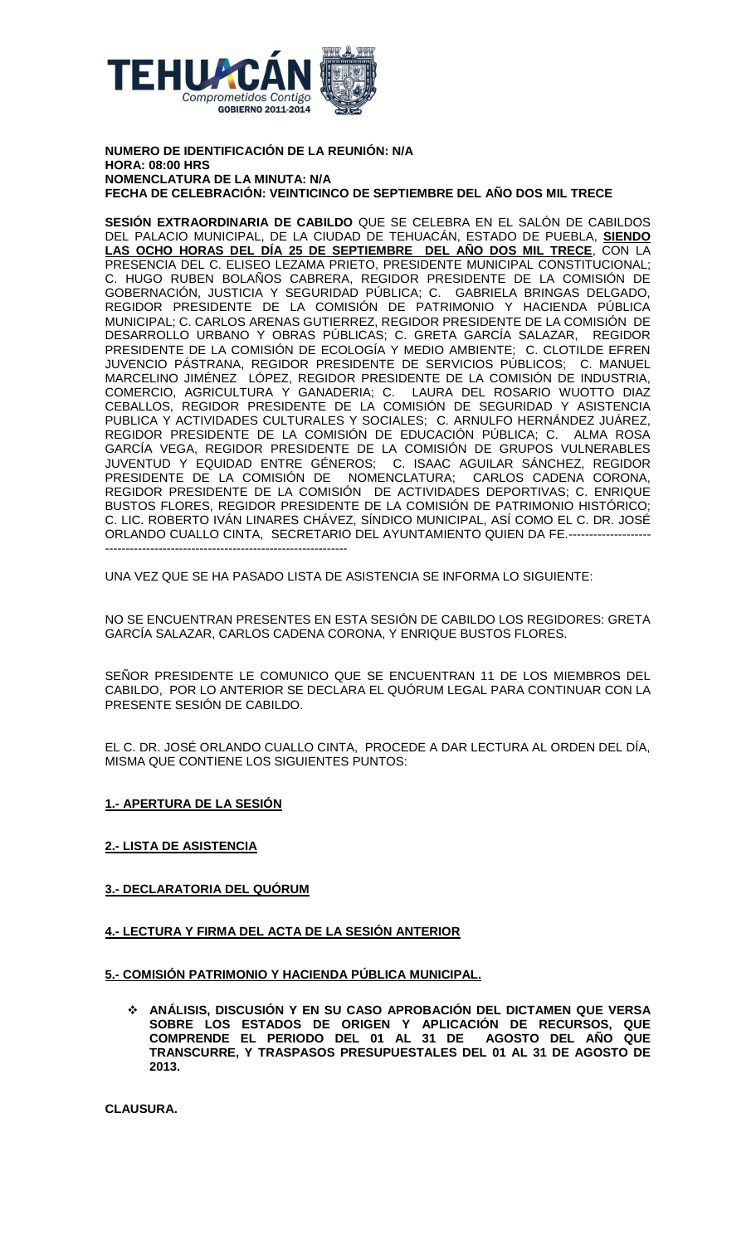

**NUMERO DE IDENTIFICACIÓN DE LA REUNIÓN: N/A HORA: 08:00 HRS NOMENCLATURA DE LA MINUTA: N/A FECHA DE CELEBRACIÓN: VEINTICINCO DE SEPTIEMBRE DEL AÑO DOS MIL TRECE**

**SESIÓN EXTRAORDINARIA DE CABILDO** QUE SE CELEBRA EN EL SALÓN DE CABILDOS DEL PALACIO MUNICIPAL, DE LA CIUDAD DE TEHUACÁN, ESTADO DE PUEBLA, **SIENDO LAS OCHO HORAS DEL DÍA 25 DE SEPTIEMBRE DEL AÑO DOS MIL TRECE**, CON LA PRESENCIA DEL C. ELISEO LEZAMA PRIETO, PRESIDENTE MUNICIPAL CONSTITUCIONAL; C. HUGO RUBEN BOLAÑOS CABRERA, REGIDOR PRESIDENTE DE LA COMISIÓN DE GOBERNACIÓN, JUSTICIA Y SEGURIDAD PÚBLICA; C. GABRIELA BRINGAS DELGADO, REGIDOR PRESIDENTE DE LA COMISIÓN DE PATRIMONIO Y HACIENDA PÚBLICA MUNICIPAL; C. CARLOS ARENAS GUTIERREZ, REGIDOR PRESIDENTE DE LA COMISIÓN DE DESARROLLO URBANO Y OBRAS PÚBLICAS; C. GRETA GARCÍA SALAZAR, REGIDOR PRESIDENTE DE LA COMISIÓN DE ECOLOGÍA Y MEDIO AMBIENTE; C. CLOTILDE EFREN JUVENCIO PÁSTRANA, REGIDOR PRESIDENTE DE SERVICIOS PÚBLICOS; C. MANUEL MARCELINO JIMÉNEZ LÓPEZ, REGIDOR PRESIDENTE DE LA COMISIÓN DE INDUSTRIA, COMERCIO, AGRICULTURA Y GANADERIA; C. LAURA DEL ROSARIO WUOTTO DIAZ CEBALLOS, REGIDOR PRESIDENTE DE LA COMISIÓN DE SEGURIDAD Y ASISTENCIA PUBLICA Y ACTIVIDADES CULTURALES Y SOCIALES; C. ARNULFO HERNÁNDEZ JUÁREZ, REGIDOR PRESIDENTE DE LA COMISIÓN DE EDUCACIÓN PÚBLICA; C. ALMA ROSA GARCÍA VEGA, REGIDOR PRESIDENTE DE LA COMISIÓN DE GRUPOS VULNERABLES JUVENTUD Y EQUIDAD ENTRE GÉNEROS; C. ISAAC AGUILAR SÁNCHEZ, REGIDOR PRESIDENTE DE LA COMISIÓN DE NOMENCLATURA; CARLOS CADENA CORONA, REGIDOR PRESIDENTE DE LA COMISIÓN DE ACTIVIDADES DEPORTIVAS; C. ENRIQUE BUSTOS FLORES, REGIDOR PRESIDENTE DE LA COMISIÓN DE PATRIMONIO HISTÓRICO; C. LIC. ROBERTO IVÁN LINARES CHÁVEZ, SÍNDICO MUNICIPAL, ASÍ COMO EL C. DR. JOSÉ ORLANDO CUALLO CINTA, SECRETARIO DEL AYUNTAMIENTO QUIEN DA FE.-------------------- -----------------------------------------------------------

UNA VEZ QUE SE HA PASADO LISTA DE ASISTENCIA SE INFORMA LO SIGUIENTE:

NO SE ENCUENTRAN PRESENTES EN ESTA SESIÓN DE CABILDO LOS REGIDORES: GRETA GARCÍA SALAZAR, CARLOS CADENA CORONA, Y ENRIQUE BUSTOS FLORES.

SEÑOR PRESIDENTE LE COMUNICO QUE SE ENCUENTRAN 11 DE LOS MIEMBROS DEL CABILDO, POR LO ANTERIOR SE DECLARA EL QUÓRUM LEGAL PARA CONTINUAR CON LA PRESENTE SESIÓN DE CABILDO.

EL C. DR. JOSÉ ORLANDO CUALLO CINTA, PROCEDE A DAR LECTURA AL ORDEN DEL DÍA, MISMA QUE CONTIENE LOS SIGUIENTES PUNTOS:

# **1.- APERTURA DE LA SESIÓN**

# **2.- LISTA DE ASISTENCIA**

# **3.- DECLARATORIA DEL QUÓRUM**

# **4.- LECTURA Y FIRMA DEL ACTA DE LA SESIÓN ANTERIOR**

# **5.- COMISIÓN PATRIMONIO Y HACIENDA PÚBLICA MUNICIPAL.**

 **ANÁLISIS, DISCUSIÓN Y EN SU CASO APROBACIÓN DEL DICTAMEN QUE VERSA SOBRE LOS ESTADOS DE ORIGEN Y APLICACIÓN DE RECURSOS, QUE COMPRENDE EL PERIODO DEL 01 AL 31 DE AGOSTO DEL AÑO QUE TRANSCURRE, Y TRASPASOS PRESUPUESTALES DEL 01 AL 31 DE AGOSTO DE 2013.**

**CLAUSURA.**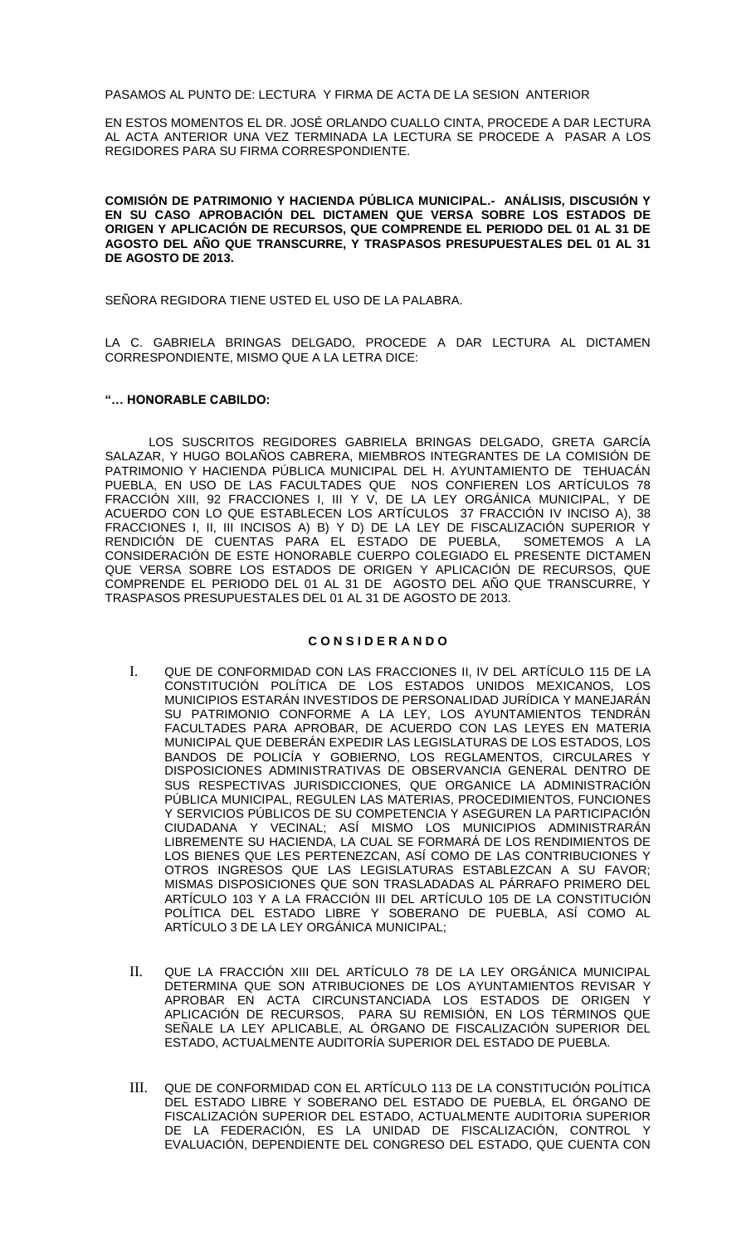PASAMOS AL PUNTO DE: LECTURA Y FIRMA DE ACTA DE LA SESION ANTERIOR

EN ESTOS MOMENTOS EL DR. JOSÉ ORLANDO CUALLO CINTA, PROCEDE A DAR LECTURA AL ACTA ANTERIOR UNA VEZ TERMINADA LA LECTURA SE PROCEDE A PASAR A LOS REGIDORES PARA SU FIRMA CORRESPONDIENTE.

**COMISIÓN DE PATRIMONIO Y HACIENDA PÚBLICA MUNICIPAL.- ANÁLISIS, DISCUSIÓN Y EN SU CASO APROBACIÓN DEL DICTAMEN QUE VERSA SOBRE LOS ESTADOS DE ORIGEN Y APLICACIÓN DE RECURSOS, QUE COMPRENDE EL PERIODO DEL 01 AL 31 DE AGOSTO DEL AÑO QUE TRANSCURRE, Y TRASPASOS PRESUPUESTALES DEL 01 AL 31 DE AGOSTO DE 2013.**

SEÑORA REGIDORA TIENE USTED EL USO DE LA PALABRA.

LA C. GABRIELA BRINGAS DELGADO, PROCEDE A DAR LECTURA AL DICTAMEN CORRESPONDIENTE, MISMO QUE A LA LETRA DICE:

### **"… HONORABLE CABILDO:**

LOS SUSCRITOS REGIDORES GABRIELA BRINGAS DELGADO, GRETA GARCÍA SALAZAR, Y HUGO BOLAÑOS CABRERA, MIEMBROS INTEGRANTES DE LA COMISIÓN DE PATRIMONIO Y HACIENDA PÚBLICA MUNICIPAL DEL H. AYUNTAMIENTO DE TEHUACÁN PUEBLA, EN USO DE LAS FACULTADES QUE NOS CONFIEREN LOS ARTÍCULOS 78 FRACCIÓN XIII, 92 FRACCIONES I, III Y V, DE LA LEY ORGÁNICA MUNICIPAL, Y DE ACUERDO CON LO QUE ESTABLECEN LOS ARTÍCULOS 37 FRACCIÓN IV INCISO A), 38 FRACCIONES I, II, III INCISOS A) B) Y D) DE LA LEY DE FISCALIZACIÓN SUPERIOR Y RENDICIÓN DE CUENTAS PARA EL ESTADO DE PUEBLA, SOMETEMOS A LA CONSIDERACIÓN DE ESTE HONORABLE CUERPO COLEGIADO EL PRESENTE DICTAMEN QUE VERSA SOBRE LOS ESTADOS DE ORIGEN Y APLICACIÓN DE RECURSOS, QUE COMPRENDE EL PERIODO DEL 01 AL 31 DE AGOSTO DEL AÑO QUE TRANSCURRE, Y TRASPASOS PRESUPUESTALES DEL 01 AL 31 DE AGOSTO DE 2013.

# **C O N S I D E R A N D O**

- I. QUE DE CONFORMIDAD CON LAS FRACCIONES II, IV DEL ARTÍCULO 115 DE LA CONSTITUCIÓN POLÍTICA DE LOS ESTADOS UNIDOS MEXICANOS, LOS MUNICIPIOS ESTARÁN INVESTIDOS DE PERSONALIDAD JURÍDICA Y MANEJARÁN SU PATRIMONIO CONFORME A LA LEY, LOS AYUNTAMIENTOS TENDRÁN FACULTADES PARA APROBAR, DE ACUERDO CON LAS LEYES EN MATERIA MUNICIPAL QUE DEBERÁN EXPEDIR LAS LEGISLATURAS DE LOS ESTADOS, LOS BANDOS DE POLICÍA Y GOBIERNO, LOS REGLAMENTOS, CIRCULARES Y DISPOSICIONES ADMINISTRATIVAS DE OBSERVANCIA GENERAL DENTRO DE SUS RESPECTIVAS JURISDICCIONES, QUE ORGANICE LA ADMINISTRACIÓN PÚBLICA MUNICIPAL, REGULEN LAS MATERIAS, PROCEDIMIENTOS, FUNCIONES Y SERVICIOS PÚBLICOS DE SU COMPETENCIA Y ASEGUREN LA PARTICIPACIÓN CIUDADANA Y VECINAL; ASÍ MISMO LOS MUNICIPIOS ADMINISTRARÁN LIBREMENTE SU HACIENDA, LA CUAL SE FORMARÁ DE LOS RENDIMIENTOS DE LOS BIENES QUE LES PERTENEZCAN, ASÍ COMO DE LAS CONTRIBUCIONES Y OTROS INGRESOS QUE LAS LEGISLATURAS ESTABLEZCAN A SU FAVOR; MISMAS DISPOSICIONES QUE SON TRASLADADAS AL PÁRRAFO PRIMERO DEL ARTÍCULO 103 Y A LA FRACCIÓN III DEL ARTÍCULO 105 DE LA CONSTITUCIÓN POLÍTICA DEL ESTADO LIBRE Y SOBERANO DE PUEBLA, ASÍ COMO AL ARTÍCULO 3 DE LA LEY ORGÁNICA MUNICIPAL;
- II. QUE LA FRACCIÓN XIII DEL ARTÍCULO 78 DE LA LEY ORGÁNICA MUNICIPAL DETERMINA QUE SON ATRIBUCIONES DE LOS AYUNTAMIENTOS REVISAR Y APROBAR EN ACTA CIRCUNSTANCIADA LOS ESTADOS DE ORIGEN Y APLICACIÓN DE RECURSOS, PARA SU REMISIÓN, EN LOS TÉRMINOS QUE SEÑALE LA LEY APLICABLE, AL ÓRGANO DE FISCALIZACIÓN SUPERIOR DEL ESTADO, ACTUALMENTE AUDITORÍA SUPERIOR DEL ESTADO DE PUEBLA.
- III. QUE DE CONFORMIDAD CON EL ARTÍCULO 113 DE LA CONSTITUCIÓN POLÍTICA DEL ESTADO LIBRE Y SOBERANO DEL ESTADO DE PUEBLA, EL ÓRGANO DE FISCALIZACIÓN SUPERIOR DEL ESTADO, ACTUALMENTE AUDITORIA SUPERIOR DE LA FEDERACIÓN, ES LA UNIDAD DE FISCALIZACIÓN, CONTROL Y EVALUACIÓN, DEPENDIENTE DEL CONGRESO DEL ESTADO, QUE CUENTA CON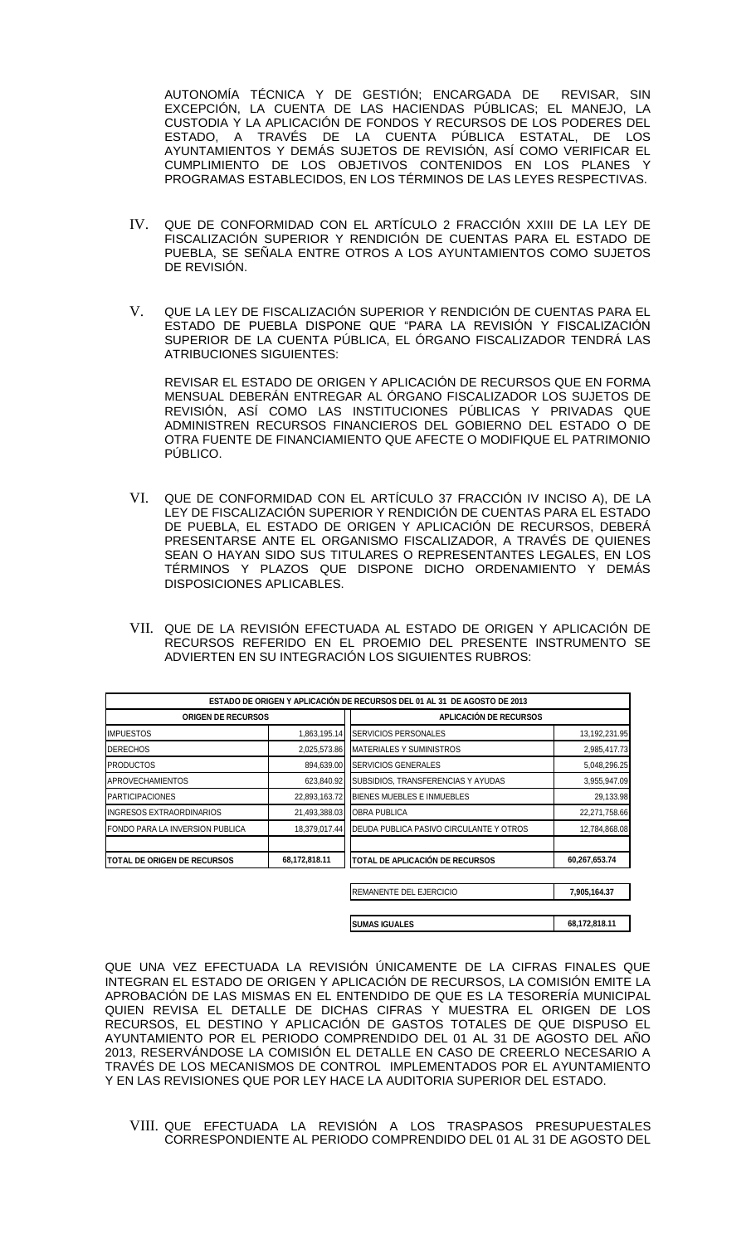AUTONOMÍA TÉCNICA Y DE GESTIÓN; ENCARGADA DE REVISAR, SIN EXCEPCIÓN, LA CUENTA DE LAS HACIENDAS PÚBLICAS; EL MANEJO, LA CUSTODIA Y LA APLICACIÓN DE FONDOS Y RECURSOS DE LOS PODERES DEL ESTADO, A TRAVÉS DE LA CUENTA PÚBLICA ESTATAL, DE LOS AYUNTAMIENTOS Y DEMÁS SUJETOS DE REVISIÓN, ASÍ COMO VERIFICAR EL CUMPLIMIENTO DE LOS OBJETIVOS CONTENIDOS EN LOS PLANES Y PROGRAMAS ESTABLECIDOS, EN LOS TÉRMINOS DE LAS LEYES RESPECTIVAS.

- IV. QUE DE CONFORMIDAD CON EL ARTÍCULO 2 FRACCIÓN XXIII DE LA LEY DE FISCALIZACIÓN SUPERIOR Y RENDICIÓN DE CUENTAS PARA EL ESTADO DE PUEBLA, SE SEÑALA ENTRE OTROS A LOS AYUNTAMIENTOS COMO SUJETOS DE REVISIÓN.
- V. QUE LA LEY DE FISCALIZACIÓN SUPERIOR Y RENDICIÓN DE CUENTAS PARA EL ESTADO DE PUEBLA DISPONE QUE "PARA LA REVISIÓN Y FISCALIZACIÓN SUPERIOR DE LA CUENTA PÚBLICA, EL ÓRGANO FISCALIZADOR TENDRÁ LAS ATRIBUCIONES SIGUIENTES:

REVISAR EL ESTADO DE ORIGEN Y APLICACIÓN DE RECURSOS QUE EN FORMA MENSUAL DEBERÁN ENTREGAR AL ÓRGANO FISCALIZADOR LOS SUJETOS DE REVISIÓN, ASÍ COMO LAS INSTITUCIONES PÚBLICAS Y PRIVADAS QUE ADMINISTREN RECURSOS FINANCIEROS DEL GOBIERNO DEL ESTADO O DE OTRA FUENTE DE FINANCIAMIENTO QUE AFECTE O MODIFIQUE EL PATRIMONIO PÚBLICO.

- VI. QUE DE CONFORMIDAD CON EL ARTÍCULO 37 FRACCIÓN IV INCISO A), DE LA LEY DE FISCALIZACIÓN SUPERIOR Y RENDICIÓN DE CUENTAS PARA EL ESTADO DE PUEBLA, EL ESTADO DE ORIGEN Y APLICACIÓN DE RECURSOS, DEBERÁ PRESENTARSE ANTE EL ORGANISMO FISCALIZADOR, A TRAVÉS DE QUIENES SEAN O HAYAN SIDO SUS TITULARES O REPRESENTANTES LEGALES, EN LOS TÉRMINOS Y PLAZOS QUE DISPONE DICHO ORDENAMIENTO Y DEMÁS DISPOSICIONES APLICABLES.
- VII. QUE DE LA REVISIÓN EFECTUADA AL ESTADO DE ORIGEN Y APLICACIÓN DE RECURSOS REFERIDO EN EL PROEMIO DEL PRESENTE INSTRUMENTO SE ADVIERTEN EN SU INTEGRACIÓN LOS SIGUIENTES RUBROS:

|                                    |               | ESTADO DE ORIGEN Y APLICACIÓN DE RECURSOS DEL 01 AL 31 DE AGOSTO DE 2013 |               |
|------------------------------------|---------------|--------------------------------------------------------------------------|---------------|
| <b>ORIGEN DE RECURSOS</b>          |               | <b>APLICACIÓN DE RECURSOS</b>                                            |               |
| <b>IMPUESTOS</b>                   | 1,863,195.14  | SERVICIOS PERSONALES                                                     | 13,192,231.95 |
| <b>DERECHOS</b>                    | 2,025,573.86  | <b>MATERIALES Y SUMINISTROS</b>                                          | 2,985,417.73  |
| <b>PRODUCTOS</b>                   | 894,639.00    | SERVICIOS GENERALES                                                      | 5,048,296.25  |
| <b>APROVECHAMIENTOS</b>            | 623,840.92    | SUBSIDIOS, TRANSFERENCIAS Y AYUDAS                                       | 3,955,947.09  |
| <b>PARTICIPACIONES</b>             | 22,893,163.72 | BIENES MUEBLES E INMUEBLES                                               | 29,133.98     |
| <b>INGRESOS EXTRAORDINARIOS</b>    | 21,493,388.03 | <b>OBRA PUBLICA</b>                                                      | 22,271,758.66 |
| FONDO PARA LA INVERSION PUBLICA    | 18,379,017.44 | DEUDA PUBLICA PASIVO CIRCULANTE Y OTROS                                  | 12,784,868.08 |
| <b>TOTAL DE ORIGEN DE RECURSOS</b> | 68,172,818.11 | TOTAL DE APLICACIÓN DE RECURSOS                                          | 60,267,653.74 |
|                                    |               | <b>REMANENTE DEL EJERCICIO</b>                                           | 7,905,164.37  |

| <b>SUMAS IGUALES</b> | 68,172,818.11 |
|----------------------|---------------|
|                      |               |

QUE UNA VEZ EFECTUADA LA REVISIÓN ÚNICAMENTE DE LA CIFRAS FINALES QUE INTEGRAN EL ESTADO DE ORIGEN Y APLICACIÓN DE RECURSOS, LA COMISIÓN EMITE LA APROBACIÓN DE LAS MISMAS EN EL ENTENDIDO DE QUE ES LA TESORERÍA MUNICIPAL QUIEN REVISA EL DETALLE DE DICHAS CIFRAS Y MUESTRA EL ORIGEN DE LOS RECURSOS, EL DESTINO Y APLICACIÓN DE GASTOS TOTALES DE QUE DISPUSO EL AYUNTAMIENTO POR EL PERIODO COMPRENDIDO DEL 01 AL 31 DE AGOSTO DEL AÑO 2013, RESERVÁNDOSE LA COMISIÓN EL DETALLE EN CASO DE CREERLO NECESARIO A TRAVÉS DE LOS MECANISMOS DE CONTROL IMPLEMENTADOS POR EL AYUNTAMIENTO Y EN LAS REVISIONES QUE POR LEY HACE LA AUDITORIA SUPERIOR DEL ESTADO.

VIII. QUE EFECTUADA LA REVISIÓN A LOS TRASPASOS PRESUPUESTALES CORRESPONDIENTE AL PERIODO COMPRENDIDO DEL 01 AL 31 DE AGOSTO DEL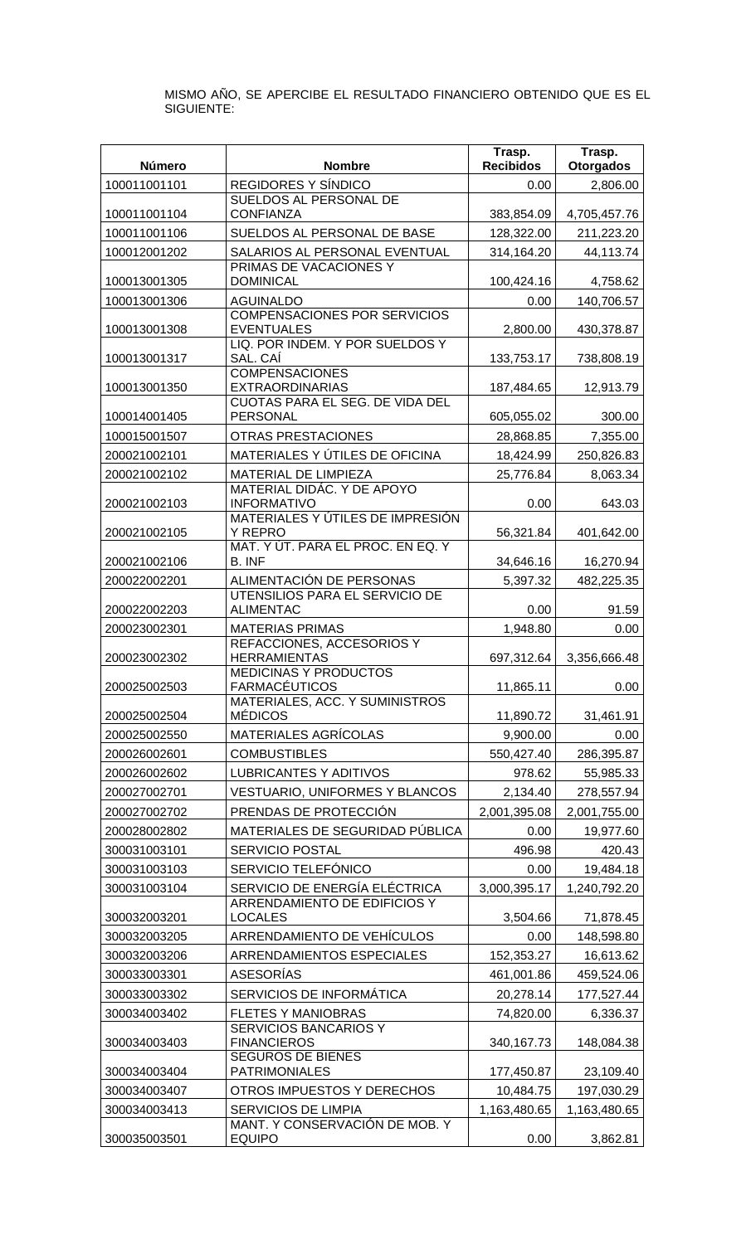MISMO AÑO, SE APERCIBE EL RESULTADO FINANCIERO OBTENIDO QUE ES EL SIGUIENTE:

|                              |                                                           | Trasp.               | Trasp.                    |
|------------------------------|-----------------------------------------------------------|----------------------|---------------------------|
| Número                       | <b>Nombre</b>                                             | <b>Recibidos</b>     | <b>Otorgados</b>          |
| 100011001101                 | REGIDORES Y SÍNDICO<br>SUELDOS AL PERSONAL DE             | 0.00                 | 2,806.00                  |
| 100011001104                 | <b>CONFIANZA</b>                                          | 383,854.09           | 4,705,457.76              |
| 100011001106                 | SUELDOS AL PERSONAL DE BASE                               | 128,322.00           | 211,223.20                |
| 100012001202                 | SALARIOS AL PERSONAL EVENTUAL                             | 314,164.20           | 44,113.74                 |
| 100013001305                 | PRIMAS DE VACACIONES Y<br><b>DOMINICAL</b>                | 100,424.16           | 4,758.62                  |
| 100013001306                 | <b>AGUINALDO</b>                                          | 0.00                 | 140,706.57                |
|                              | <b>COMPENSACIONES POR SERVICIOS</b>                       |                      |                           |
| 100013001308                 | <b>EVENTUALES</b><br>LIQ. POR INDEM. Y POR SUELDOS Y      | 2,800.00             | 430,378.87                |
| 100013001317                 | SAL. CAI                                                  | 133,753.17           | 738,808.19                |
| 100013001350                 | <b>COMPENSACIONES</b><br><b>EXTRAORDINARIAS</b>           | 187,484.65           | 12,913.79                 |
|                              | CUOTAS PARA EL SEG. DE VIDA DEL                           |                      |                           |
| 100014001405                 | <b>PERSONAL</b>                                           | 605,055.02           | 300.00                    |
| 100015001507                 | <b>OTRAS PRESTACIONES</b>                                 | 28,868.85            | 7,355.00                  |
| 200021002101                 | MATERIALES Y ÚTILES DE OFICINA                            | 18,424.99            | 250,826.83                |
| 200021002102                 | MATERIAL DE LIMPIEZA<br>MATERIAL DIDÁC. Y DE APOYO        | 25,776.84            | 8,063.34                  |
| 200021002103                 | <b>INFORMATIVO</b>                                        | 0.00                 | 643.03                    |
|                              | MATERIALES Y ÚTILES DE IMPRESIÓN                          |                      |                           |
| 200021002105                 | <b>Y REPRO</b><br>MAT. Y ÚT. PARA EL PROC. EN EQ. Y       | 56,321.84            | 401,642.00                |
| 200021002106                 | <b>B. INF</b>                                             | 34,646.16            | 16,270.94                 |
| 200022002201                 | ALIMENTACIÓN DE PERSONAS                                  | 5,397.32             | 482,225.35                |
|                              | UTENSILIOS PARA EL SERVICIO DE                            |                      |                           |
| 200022002203<br>200023002301 | <b>ALIMENTAC</b><br><b>MATERIAS PRIMAS</b>                | 0.00<br>1,948.80     | 91.59<br>0.00             |
|                              | REFACCIONES, ACCESORIOS Y                                 |                      |                           |
| 200023002302                 | <b>HERRAMIENTAS</b>                                       | 697,312.64           | 3,356,666.48              |
| 200025002503                 | <b>MEDICINAS Y PRODUCTOS</b><br><b>FARMACÉUTICOS</b>      | 11,865.11            | 0.00                      |
|                              | MATERIALES, ACC. Y SUMINISTROS                            |                      |                           |
| 200025002504                 | <b>MÉDICOS</b>                                            | 11,890.72            | 31,461.91                 |
| 200025002550                 | MATERIALES AGRÍCOLAS                                      | 9,900.00             | 0.00                      |
| 200026002601                 | <b>COMBUSTIBLES</b>                                       | 550,427.40           | 286,395.87                |
| 200026002602                 | <b>LUBRICANTES Y ADITIVOS</b>                             | 978.62               | 55,985.33                 |
| 200027002701                 | <b>VESTUARIO, UNIFORMES Y BLANCOS</b>                     | 2,134.40             | 278,557.94                |
| 200027002702<br>200028002802 | PRENDAS DE PROTECCIÓN<br>MATERIALES DE SEGURIDAD PÚBLICA  | 2,001,395.08<br>0.00 | 2,001,755.00<br>19,977.60 |
| 300031003101                 | <b>SERVICIO POSTAL</b>                                    | 496.98               | 420.43                    |
| 300031003103                 | SERVICIO TELEFÓNICO                                       | 0.00                 | 19,484.18                 |
| 300031003104                 | SERVICIO DE ENERGÍA ELÉCTRICA                             | 3,000,395.17         | 1,240,792.20              |
|                              | ARRENDAMIENTO DE EDIFICIOS Y                              |                      |                           |
| 300032003201                 | <b>LOCALES</b>                                            | 3,504.66             | 71,878.45                 |
| 300032003205                 | ARRENDAMIENTO DE VEHÍCULOS                                | 0.00                 | 148,598.80                |
| 300032003206                 | ARRENDAMIENTOS ESPECIALES                                 | 152,353.27           | 16,613.62                 |
| 300033003301                 | <b>ASESORÍAS</b>                                          | 461,001.86           | 459,524.06                |
| 300033003302                 | SERVICIOS DE INFORMÁTICA                                  | 20,278.14            | 177,527.44                |
| 300034003402                 | <b>FLETES Y MANIOBRAS</b><br><b>SERVICIOS BANCARIOS Y</b> | 74,820.00            | 6,336.37                  |
| 300034003403                 | <b>FINANCIEROS</b>                                        | 340, 167. 73         | 148,084.38                |
| 300034003404                 | <b>SEGUROS DE BIENES</b><br><b>PATRIMONIALES</b>          | 177,450.87           | 23,109.40                 |
| 300034003407                 | OTROS IMPUESTOS Y DERECHOS                                | 10,484.75            | 197,030.29                |
| 300034003413                 | <b>SERVICIOS DE LIMPIA</b>                                | 1,163,480.65         | 1,163,480.65              |
|                              | MANT. Y CONSERVACIÓN DE MOB. Y                            |                      |                           |
| 300035003501                 | <b>EQUIPO</b>                                             | 0.00                 | 3,862.81                  |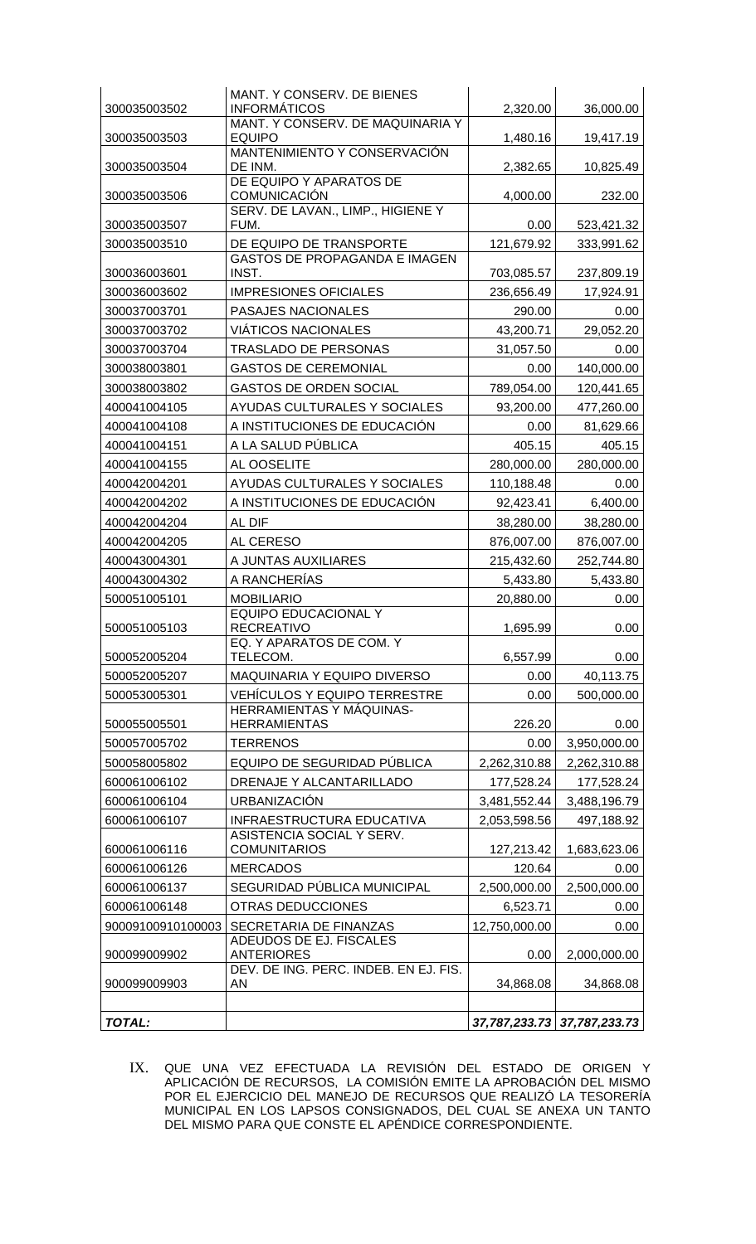| 300035003502      | MANT. Y CONSERV. DE BIENES<br><b>INFORMÁTICOS</b> | 2,320.00      | 36,000.00                   |
|-------------------|---------------------------------------------------|---------------|-----------------------------|
|                   | MANT. Y CONSERV. DE MAQUINARIA Y                  |               |                             |
| 300035003503      | <b>EQUIPO</b><br>MANTENIMIENTO Y CONSERVACIÓN     | 1,480.16      | 19,417.19                   |
| 300035003504      | DE INM.                                           | 2,382.65      | 10,825.49                   |
|                   | DE EQUIPO Y APARATOS DE                           |               |                             |
| 300035003506      | COMUNICACIÓN                                      | 4,000.00      | 232.00                      |
| 300035003507      | SERV. DE LAVAN., LIMP., HIGIENE Y<br>FUM.         | 0.00          | 523,421.32                  |
| 300035003510      | DE EQUIPO DE TRANSPORTE                           | 121,679.92    | 333,991.62                  |
| 300036003601      | <b>GASTOS DE PROPAGANDA E IMAGEN</b><br>INST.     | 703,085.57    | 237,809.19                  |
| 300036003602      | <b>IMPRESIONES OFICIALES</b>                      | 236,656.49    | 17,924.91                   |
| 300037003701      | PASAJES NACIONALES                                | 290.00        | 0.00                        |
| 300037003702      | <b>VIATICOS NACIONALES</b>                        | 43,200.71     | 29,052.20                   |
| 300037003704      | <b>TRASLADO DE PERSONAS</b>                       | 31,057.50     | 0.00                        |
| 300038003801      | <b>GASTOS DE CEREMONIAL</b>                       | 0.00          | 140,000.00                  |
| 300038003802      | <b>GASTOS DE ORDEN SOCIAL</b>                     | 789,054.00    | 120,441.65                  |
| 400041004105      | AYUDAS CULTURALES Y SOCIALES                      | 93,200.00     | 477,260.00                  |
| 400041004108      | A INSTITUCIONES DE EDUCACIÓN                      | 0.00          | 81,629.66                   |
| 400041004151      | A LA SALUD PÚBLICA                                | 405.15        | 405.15                      |
| 400041004155      | AL OOSELITE                                       | 280,000.00    | 280,000.00                  |
| 400042004201      | AYUDAS CULTURALES Y SOCIALES                      | 110,188.48    | 0.00                        |
| 400042004202      | A INSTITUCIONES DE EDUCACIÓN                      | 92,423.41     | 6,400.00                    |
| 400042004204      | AL DIF                                            | 38,280.00     | 38,280.00                   |
| 400042004205      | AL CERESO                                         | 876,007.00    | 876,007.00                  |
| 400043004301      | A JUNTAS AUXILIARES                               | 215,432.60    | 252,744.80                  |
| 400043004302      | A RANCHERÍAS                                      | 5,433.80      | 5,433.80                    |
| 500051005101      | <b>MOBILIARIO</b>                                 | 20,880.00     | 0.00                        |
|                   | <b>EQUIPO EDUCACIONAL Y</b>                       |               |                             |
| 500051005103      | <b>RECREATIVO</b>                                 | 1,695.99      | 0.00                        |
| 500052005204      | EQ. Y APARATOS DE COM. Y<br>TELECOM.              | 6,557.99      | 0.00                        |
| 500052005207      | MAQUINARIA Y EQUIPO DIVERSO                       | 0.00          | 40,113.75                   |
| 500053005301      | <b>VEHÍCULOS Y EQUIPO TERRESTRE</b>               | 0.00          | 500,000.00                  |
|                   | HERRAMIENTAS Y MÁQUINAS-                          |               |                             |
| 500055005501      | <b>HERRAMIENTAS</b>                               | 226.20        | 0.00                        |
| 500057005702      | <b>TERRENOS</b>                                   | 0.00          | 3,950,000.00                |
| 500058005802      | EQUIPO DE SEGURIDAD PÚBLICA                       | 2,262,310.88  | 2,262,310.88                |
| 600061006102      | DRENAJE Y ALCANTARILLADO                          | 177,528.24    | 177,528.24                  |
| 600061006104      | <b>URBANIZACIÓN</b>                               | 3,481,552.44  | 3,488,196.79                |
| 600061006107      | INFRAESTRUCTURA EDUCATIVA                         | 2,053,598.56  | 497,188.92                  |
| 600061006116      | ASISTENCIA SOCIAL Y SERV.<br><b>COMUNITARIOS</b>  | 127,213.42    | 1,683,623.06                |
| 600061006126      | <b>MERCADOS</b>                                   | 120.64        | 0.00                        |
| 600061006137      | SEGURIDAD PÚBLICA MUNICIPAL                       | 2,500,000.00  | 2,500,000.00                |
| 600061006148      | OTRAS DEDUCCIONES                                 | 6,523.71      | 0.00                        |
| 90009100910100003 | SECRETARIA DE FINANZAS                            | 12,750,000.00 | 0.00                        |
| 900099009902      | ADEUDOS DE EJ. FISCALES<br><b>ANTERIORES</b>      | 0.00          | 2,000,000.00                |
| 900099009903      | DEV. DE ING. PERC. INDEB. EN EJ. FIS.<br>AN       | 34,868.08     | 34,868.08                   |
|                   |                                                   |               |                             |
| <b>TOTAL:</b>     |                                                   |               | 37,787,233.73 37,787,233.73 |

IX. QUE UNA VEZ EFECTUADA LA REVISIÓN DEL ESTADO DE ORIGEN Y APLICACIÓN DE RECURSOS, LA COMISIÓN EMITE LA APROBACIÓN DEL MISMO POR EL EJERCICIO DEL MANEJO DE RECURSOS QUE REALIZÓ LA TESORERÍA MUNICIPAL EN LOS LAPSOS CONSIGNADOS, DEL CUAL SE ANEXA UN TANTO DEL MISMO PARA QUE CONSTE EL APÉNDICE CORRESPONDIENTE.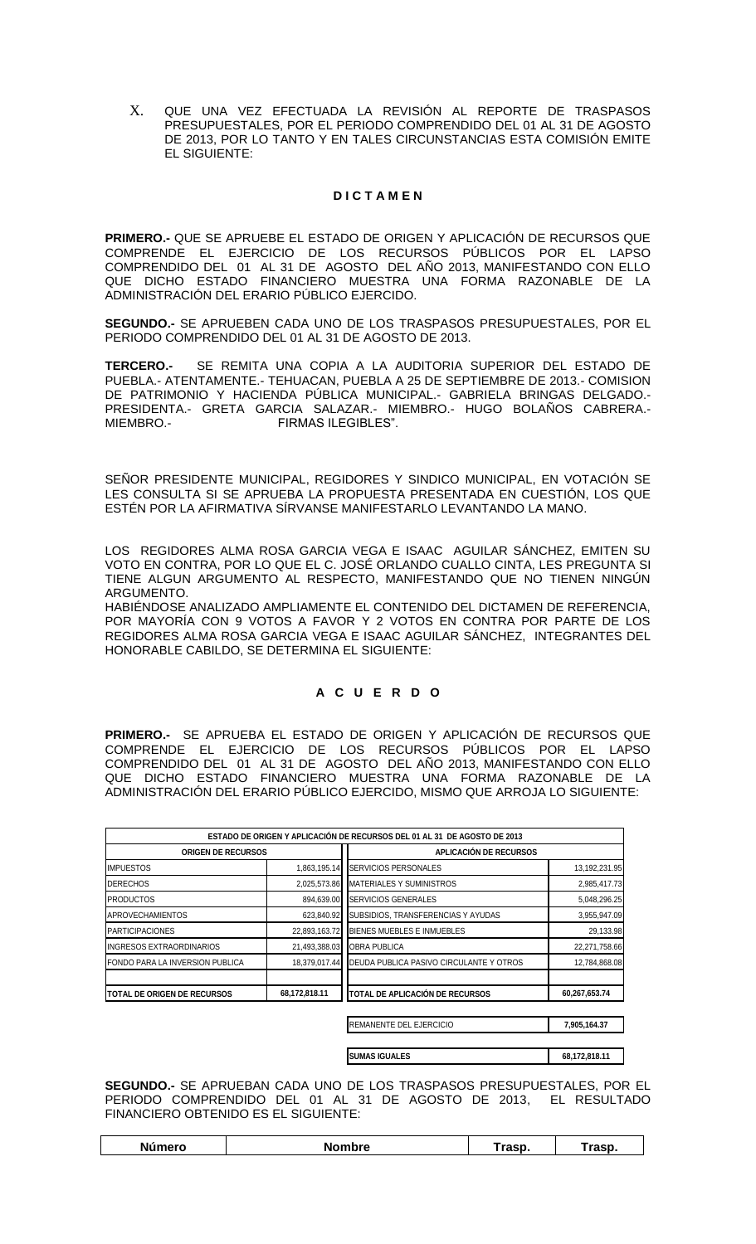X. QUE UNA VEZ EFECTUADA LA REVISIÓN AL REPORTE DE TRASPASOS PRESUPUESTALES, POR EL PERIODO COMPRENDIDO DEL 01 AL 31 DE AGOSTO DE 2013, POR LO TANTO Y EN TALES CIRCUNSTANCIAS ESTA COMISIÓN EMITE EL SIGUIENTE:

### **D I C T A M E N**

**PRIMERO.-** QUE SE APRUEBE EL ESTADO DE ORIGEN Y APLICACIÓN DE RECURSOS QUE COMPRENDE EL EJERCICIO DE LOS RECURSOS PÚBLICOS POR EL LAPSO COMPRENDIDO DEL 01 AL 31 DE AGOSTO DEL AÑO 2013, MANIFESTANDO CON ELLO QUE DICHO ESTADO FINANCIERO MUESTRA UNA FORMA RAZONABLE DE LA ADMINISTRACIÓN DEL ERARIO PÚBLICO EJERCIDO.

**SEGUNDO.-** SE APRUEBEN CADA UNO DE LOS TRASPASOS PRESUPUESTALES, POR EL PERIODO COMPRENDIDO DEL 01 AL 31 DE AGOSTO DE 2013.

**TERCERO.-** SE REMITA UNA COPIA A LA AUDITORIA SUPERIOR DEL ESTADO DE PUEBLA.- ATENTAMENTE.- TEHUACAN, PUEBLA A 25 DE SEPTIEMBRE DE 2013.- COMISION DE PATRIMONIO Y HACIENDA PÚBLICA MUNICIPAL.- GABRIELA BRINGAS DELGADO.- PRESIDENTA.- GRETA GARCIA SALAZAR.- MIEMBRO.- HUGO BOLAÑOS CABRERA.- FIRMAS ILEGIBLES".

SEÑOR PRESIDENTE MUNICIPAL, REGIDORES Y SINDICO MUNICIPAL, EN VOTACIÓN SE LES CONSULTA SI SE APRUEBA LA PROPUESTA PRESENTADA EN CUESTIÓN, LOS QUE ESTÉN POR LA AFIRMATIVA SÍRVANSE MANIFESTARLO LEVANTANDO LA MANO.

LOS REGIDORES ALMA ROSA GARCIA VEGA E ISAAC AGUILAR SÁNCHEZ, EMITEN SU VOTO EN CONTRA, POR LO QUE EL C. JOSÉ ORLANDO CUALLO CINTA, LES PREGUNTA SI TIENE ALGUN ARGUMENTO AL RESPECTO, MANIFESTANDO QUE NO TIENEN NINGÚN ARGUMENTO.

HABIÉNDOSE ANALIZADO AMPLIAMENTE EL CONTENIDO DEL DICTAMEN DE REFERENCIA, POR MAYORÍA CON 9 VOTOS A FAVOR Y 2 VOTOS EN CONTRA POR PARTE DE LOS REGIDORES ALMA ROSA GARCIA VEGA E ISAAC AGUILAR SÁNCHEZ, INTEGRANTES DEL HONORABLE CABILDO, SE DETERMINA EL SIGUIENTE:

# **A C U E R D O**

**PRIMERO.-** SE APRUEBA EL ESTADO DE ORIGEN Y APLICACIÓN DE RECURSOS QUE COMPRENDE EL EJERCICIO DE LOS RECURSOS PÚBLICOS POR EL LAPSO COMPRENDIDO DEL 01 AL 31 DE AGOSTO DEL AÑO 2013, MANIFESTANDO CON ELLO QUE DICHO ESTADO FINANCIERO MUESTRA UNA FORMA RAZONABLE DE LA ADMINISTRACIÓN DEL ERARIO PÚBLICO EJERCIDO, MISMO QUE ARROJA LO SIGUIENTE:

|                                 |               | ESTADO DE ORIGEN Y APLICACIÓN DE RECURSOS DEL 01 AL 31 DE AGOSTO DE 2013 |               |
|---------------------------------|---------------|--------------------------------------------------------------------------|---------------|
| <b>ORIGEN DE RECURSOS</b>       |               | <b>APLICACIÓN DE RECURSOS</b>                                            |               |
| <b>IMPUESTOS</b>                | 1,863,195.14  | <b>SERVICIOS PERSONALES</b>                                              | 13,192,231.95 |
| <b>DERECHOS</b>                 | 2,025,573.86  | <b>MATERIALES Y SUMINISTROS</b>                                          | 2,985,417.73  |
| <b>PRODUCTOS</b>                | 894,639.00    | <b>SERVICIOS GENERALES</b>                                               | 5,048,296.25  |
| <b>APROVECHAMIENTOS</b>         | 623,840.92    | SUBSIDIOS, TRANSFERENCIAS Y AYUDAS                                       | 3,955,947.09  |
| <b>PARTICIPACIONES</b>          | 22,893,163.72 | BIENES MUEBLES E INMUEBLES                                               | 29,133.98     |
| <b>INGRESOS EXTRAORDINARIOS</b> | 21,493,388.03 | <b>OBRA PUBLICA</b>                                                      | 22,271,758.66 |
| FONDO PARA LA INVERSION PUBLICA | 18,379,017.44 | DEUDA PUBLICA PASIVO CIRCULANTE Y OTROS                                  | 12,784,868.08 |
| TOTAL DE ORIGEN DE RECURSOS     | 68,172,818.11 | <b>TOTAL DE APLICACIÓN DE RECURSOS</b>                                   | 60,267,653.74 |
|                                 |               | REMANENTE DEL EJERCICIO                                                  | 7,905,164.37  |
|                                 |               | <b>SUMAS IGUALES</b>                                                     | 68,172,818.11 |

**SEGUNDO.-** SE APRUEBAN CADA UNO DE LOS TRASPASOS PRESUPUESTALES, POR EL PERIODO COMPRENDIDO DEL 01 AL 31 DE AGOSTO DE 2013, EL RESULTADO FINANCIERO OBTENIDO ES EL SIGUIENTE:

|  | <b>Número</b> | <b>Nombre</b> | rasp. | <b>Tasp</b> |
|--|---------------|---------------|-------|-------------|
|--|---------------|---------------|-------|-------------|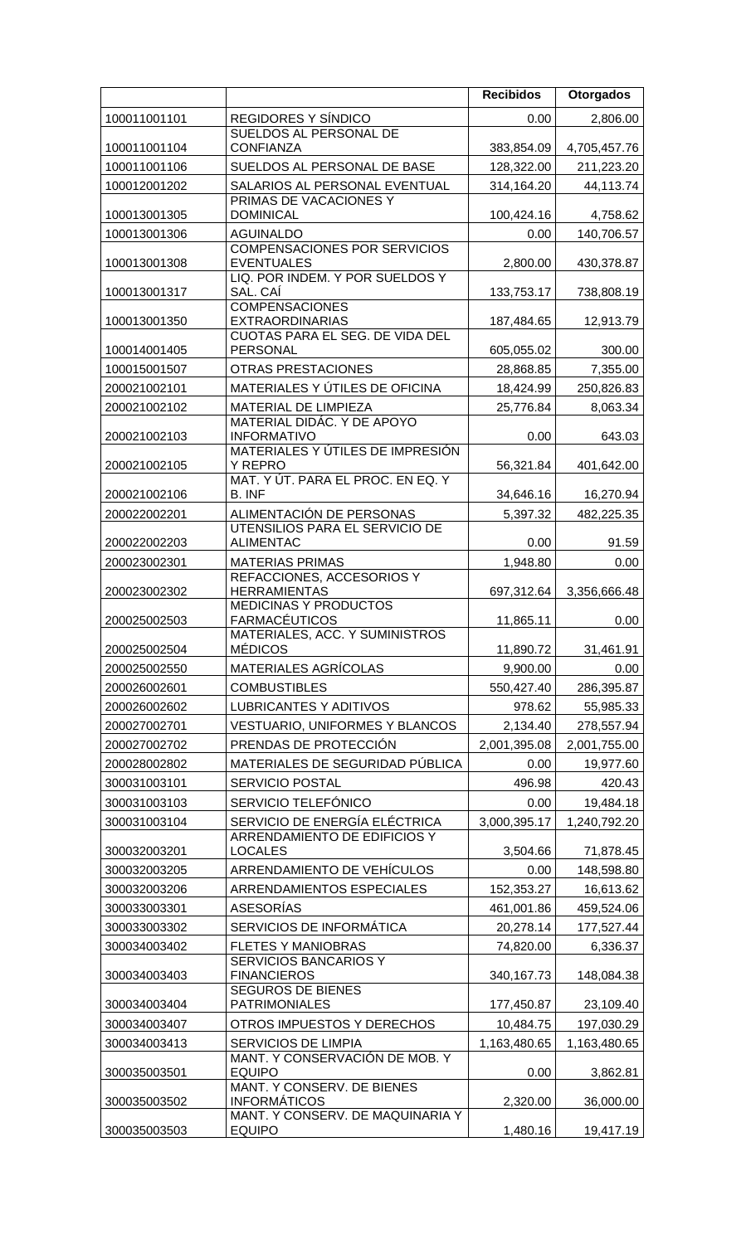| REGIDORES Y SÍNDICO<br>100011001101<br>0.00<br>2,806.00<br>SUELDOS AL PERSONAL DE<br><b>CONFIANZA</b><br>100011001104<br>383,854.09<br>4,705,457.76<br>SUELDOS AL PERSONAL DE BASE<br>128,322.00<br>100011001106<br>211,223.20<br>SALARIOS AL PERSONAL EVENTUAL<br>100012001202<br>314,164.20<br>44,113.74<br>PRIMAS DE VACACIONES Y<br><b>DOMINICAL</b><br>100013001305<br>100,424.16<br>4,758.62<br>100013001306<br><b>AGUINALDO</b><br>0.00<br>140,706.57<br><b>COMPENSACIONES POR SERVICIOS</b><br>100013001308<br><b>EVENTUALES</b><br>2,800.00<br>430,378.87<br>LIQ. POR INDEM. Y POR SUELDOS Y<br>SAL. CAÍ<br>100013001317<br>133,753.17<br>738,808.19<br><b>COMPENSACIONES</b><br>100013001350<br><b>EXTRAORDINARIAS</b><br>187,484.65<br>12,913.79<br>CUOTAS PARA EL SEG. DE VIDA DEL<br>100014001405<br><b>PERSONAL</b><br>605,055.02<br>300.00<br>100015001507<br><b>OTRAS PRESTACIONES</b><br>28,868.85<br>7,355.00<br>MATERIALES Y ÚTILES DE OFICINA<br>18,424.99<br>200021002101<br>200021002102<br>MATERIAL DE LIMPIEZA<br>25,776.84<br>MATERIAL DIDÁC. Y DE APOYO<br>200021002103<br><b>INFORMATIVO</b><br>0.00<br>643.03<br>MATERIALES Y ÚTILES DE IMPRESIÓN<br>Y REPRO<br>56,321.84<br>200021002105<br>401,642.00<br>MAT. Y ÚT. PARA EL PROC. EN EQ. Y<br>200021002106<br>B. INF<br>34,646.16<br>ALIMENTACIÓN DE PERSONAS<br>5,397.32<br>200022002201<br>482,225.35<br>UTENSILIOS PARA EL SERVICIO DE<br>0.00<br>91.59<br>200022002203<br><b>ALIMENTAC</b><br>200023002301<br><b>MATERIAS PRIMAS</b><br>1,948.80<br>0.00<br>REFACCIONES, ACCESORIOS Y<br><b>HERRAMIENTAS</b><br>200023002302<br>697,312.64<br>3,356,666.48<br><b>MEDICINAS Y PRODUCTOS</b><br><b>FARMACÉUTICOS</b><br>200025002503<br>11,865.11<br>0.00<br>MATERIALES, ACC. Y SUMINISTROS<br><b>MÉDICOS</b><br>200025002504<br>11,890.72<br>31,461.91<br>MATERIALES AGRÍCOLAS<br>200025002550<br>9,900.00<br>0.00<br><b>COMBUSTIBLES</b><br>200026002601<br>286,395.87<br>550,427.40<br><b>LUBRICANTES Y ADITIVOS</b><br>978.62<br>200026002602<br><b>VESTUARIO, UNIFORMES Y BLANCOS</b><br>2,134.40<br>200027002701<br>PRENDAS DE PROTECCIÓN<br>2,001,395.08<br>2,001,755.00<br>200027002702<br>MATERIALES DE SEGURIDAD PÚBLICA<br>200028002802<br>0.00<br>19,977.60<br>496.98<br>300031003101<br><b>SERVICIO POSTAL</b><br>420.43<br>SERVICIO TELEFÓNICO<br>300031003103<br>19,484.18<br>0.00<br>SERVICIO DE ENERGÍA ELÉCTRICA<br>3,000,395.17<br>300031003104<br>1,240,792.20<br>ARRENDAMIENTO DE EDIFICIOS Y<br>300032003201<br><b>LOCALES</b><br>3,504.66<br>71,878.45<br>ARRENDAMIENTO DE VEHÍCULOS<br>0.00<br>148,598.80<br>300032003205<br>ARRENDAMIENTOS ESPECIALES<br>152,353.27<br>300032003206<br><b>ASESORÍAS</b><br>300033003301<br>461,001.86<br>459,524.06<br>SERVICIOS DE INFORMÁTICA<br>20,278.14<br>300033003302<br><b>FLETES Y MANIOBRAS</b><br>300034003402<br>74,820.00<br><b>SERVICIOS BANCARIOS Y</b><br><b>FINANCIEROS</b><br>300034003403<br>340, 167. 73<br>148,084.38<br><b>SEGUROS DE BIENES</b><br><b>PATRIMONIALES</b><br>300034003404<br>177,450.87<br>23,109.40<br>OTROS IMPUESTOS Y DERECHOS<br>300034003407<br>10,484.75<br>197,030.29<br>300034003413<br>1,163,480.65<br>1,163,480.65<br><b>SERVICIOS DE LIMPIA</b><br>MANT. Y CONSERVACIÓN DE MOB. Y<br><b>EQUIPO</b><br>300035003501<br>0.00<br>3,862.81<br><b>MANT. Y CONSERV. DE BIENES</b><br><b>INFORMÁTICOS</b><br>300035003502<br>2,320.00<br>36,000.00<br>MANT. Y CONSERV. DE MAQUINARIA Y<br><b>EQUIPO</b><br>300035003503<br>1,480.16<br>19,417.19 |  | <b>Recibidos</b> | <b>Otorgados</b> |
|-------------------------------------------------------------------------------------------------------------------------------------------------------------------------------------------------------------------------------------------------------------------------------------------------------------------------------------------------------------------------------------------------------------------------------------------------------------------------------------------------------------------------------------------------------------------------------------------------------------------------------------------------------------------------------------------------------------------------------------------------------------------------------------------------------------------------------------------------------------------------------------------------------------------------------------------------------------------------------------------------------------------------------------------------------------------------------------------------------------------------------------------------------------------------------------------------------------------------------------------------------------------------------------------------------------------------------------------------------------------------------------------------------------------------------------------------------------------------------------------------------------------------------------------------------------------------------------------------------------------------------------------------------------------------------------------------------------------------------------------------------------------------------------------------------------------------------------------------------------------------------------------------------------------------------------------------------------------------------------------------------------------------------------------------------------------------------------------------------------------------------------------------------------------------------------------------------------------------------------------------------------------------------------------------------------------------------------------------------------------------------------------------------------------------------------------------------------------------------------------------------------------------------------------------------------------------------------------------------------------------------------------------------------------------------------------------------------------------------------------------------------------------------------------------------------------------------------------------------------------------------------------------------------------------------------------------------------------------------------------------------------------------------------------------------------------------------------------------------------------------------------------------------------------------------------------------------------------------------------------------------------------------------------------------------------------------------------------------------------------------------------------------------------------------------------------------------------------------------------------------------------------------------------|--|------------------|------------------|
|                                                                                                                                                                                                                                                                                                                                                                                                                                                                                                                                                                                                                                                                                                                                                                                                                                                                                                                                                                                                                                                                                                                                                                                                                                                                                                                                                                                                                                                                                                                                                                                                                                                                                                                                                                                                                                                                                                                                                                                                                                                                                                                                                                                                                                                                                                                                                                                                                                                                                                                                                                                                                                                                                                                                                                                                                                                                                                                                                                                                                                                                                                                                                                                                                                                                                                                                                                                                                                                                                                                                     |  |                  |                  |
| 250,826.83<br>8,063.34<br>16,270.94<br>55,985.33<br>278,557.94<br>16,613.62<br>177,527.44<br>6,336.37                                                                                                                                                                                                                                                                                                                                                                                                                                                                                                                                                                                                                                                                                                                                                                                                                                                                                                                                                                                                                                                                                                                                                                                                                                                                                                                                                                                                                                                                                                                                                                                                                                                                                                                                                                                                                                                                                                                                                                                                                                                                                                                                                                                                                                                                                                                                                                                                                                                                                                                                                                                                                                                                                                                                                                                                                                                                                                                                                                                                                                                                                                                                                                                                                                                                                                                                                                                                                               |  |                  |                  |
|                                                                                                                                                                                                                                                                                                                                                                                                                                                                                                                                                                                                                                                                                                                                                                                                                                                                                                                                                                                                                                                                                                                                                                                                                                                                                                                                                                                                                                                                                                                                                                                                                                                                                                                                                                                                                                                                                                                                                                                                                                                                                                                                                                                                                                                                                                                                                                                                                                                                                                                                                                                                                                                                                                                                                                                                                                                                                                                                                                                                                                                                                                                                                                                                                                                                                                                                                                                                                                                                                                                                     |  |                  |                  |
|                                                                                                                                                                                                                                                                                                                                                                                                                                                                                                                                                                                                                                                                                                                                                                                                                                                                                                                                                                                                                                                                                                                                                                                                                                                                                                                                                                                                                                                                                                                                                                                                                                                                                                                                                                                                                                                                                                                                                                                                                                                                                                                                                                                                                                                                                                                                                                                                                                                                                                                                                                                                                                                                                                                                                                                                                                                                                                                                                                                                                                                                                                                                                                                                                                                                                                                                                                                                                                                                                                                                     |  |                  |                  |
|                                                                                                                                                                                                                                                                                                                                                                                                                                                                                                                                                                                                                                                                                                                                                                                                                                                                                                                                                                                                                                                                                                                                                                                                                                                                                                                                                                                                                                                                                                                                                                                                                                                                                                                                                                                                                                                                                                                                                                                                                                                                                                                                                                                                                                                                                                                                                                                                                                                                                                                                                                                                                                                                                                                                                                                                                                                                                                                                                                                                                                                                                                                                                                                                                                                                                                                                                                                                                                                                                                                                     |  |                  |                  |
|                                                                                                                                                                                                                                                                                                                                                                                                                                                                                                                                                                                                                                                                                                                                                                                                                                                                                                                                                                                                                                                                                                                                                                                                                                                                                                                                                                                                                                                                                                                                                                                                                                                                                                                                                                                                                                                                                                                                                                                                                                                                                                                                                                                                                                                                                                                                                                                                                                                                                                                                                                                                                                                                                                                                                                                                                                                                                                                                                                                                                                                                                                                                                                                                                                                                                                                                                                                                                                                                                                                                     |  |                  |                  |
|                                                                                                                                                                                                                                                                                                                                                                                                                                                                                                                                                                                                                                                                                                                                                                                                                                                                                                                                                                                                                                                                                                                                                                                                                                                                                                                                                                                                                                                                                                                                                                                                                                                                                                                                                                                                                                                                                                                                                                                                                                                                                                                                                                                                                                                                                                                                                                                                                                                                                                                                                                                                                                                                                                                                                                                                                                                                                                                                                                                                                                                                                                                                                                                                                                                                                                                                                                                                                                                                                                                                     |  |                  |                  |
|                                                                                                                                                                                                                                                                                                                                                                                                                                                                                                                                                                                                                                                                                                                                                                                                                                                                                                                                                                                                                                                                                                                                                                                                                                                                                                                                                                                                                                                                                                                                                                                                                                                                                                                                                                                                                                                                                                                                                                                                                                                                                                                                                                                                                                                                                                                                                                                                                                                                                                                                                                                                                                                                                                                                                                                                                                                                                                                                                                                                                                                                                                                                                                                                                                                                                                                                                                                                                                                                                                                                     |  |                  |                  |
|                                                                                                                                                                                                                                                                                                                                                                                                                                                                                                                                                                                                                                                                                                                                                                                                                                                                                                                                                                                                                                                                                                                                                                                                                                                                                                                                                                                                                                                                                                                                                                                                                                                                                                                                                                                                                                                                                                                                                                                                                                                                                                                                                                                                                                                                                                                                                                                                                                                                                                                                                                                                                                                                                                                                                                                                                                                                                                                                                                                                                                                                                                                                                                                                                                                                                                                                                                                                                                                                                                                                     |  |                  |                  |
|                                                                                                                                                                                                                                                                                                                                                                                                                                                                                                                                                                                                                                                                                                                                                                                                                                                                                                                                                                                                                                                                                                                                                                                                                                                                                                                                                                                                                                                                                                                                                                                                                                                                                                                                                                                                                                                                                                                                                                                                                                                                                                                                                                                                                                                                                                                                                                                                                                                                                                                                                                                                                                                                                                                                                                                                                                                                                                                                                                                                                                                                                                                                                                                                                                                                                                                                                                                                                                                                                                                                     |  |                  |                  |
|                                                                                                                                                                                                                                                                                                                                                                                                                                                                                                                                                                                                                                                                                                                                                                                                                                                                                                                                                                                                                                                                                                                                                                                                                                                                                                                                                                                                                                                                                                                                                                                                                                                                                                                                                                                                                                                                                                                                                                                                                                                                                                                                                                                                                                                                                                                                                                                                                                                                                                                                                                                                                                                                                                                                                                                                                                                                                                                                                                                                                                                                                                                                                                                                                                                                                                                                                                                                                                                                                                                                     |  |                  |                  |
|                                                                                                                                                                                                                                                                                                                                                                                                                                                                                                                                                                                                                                                                                                                                                                                                                                                                                                                                                                                                                                                                                                                                                                                                                                                                                                                                                                                                                                                                                                                                                                                                                                                                                                                                                                                                                                                                                                                                                                                                                                                                                                                                                                                                                                                                                                                                                                                                                                                                                                                                                                                                                                                                                                                                                                                                                                                                                                                                                                                                                                                                                                                                                                                                                                                                                                                                                                                                                                                                                                                                     |  |                  |                  |
|                                                                                                                                                                                                                                                                                                                                                                                                                                                                                                                                                                                                                                                                                                                                                                                                                                                                                                                                                                                                                                                                                                                                                                                                                                                                                                                                                                                                                                                                                                                                                                                                                                                                                                                                                                                                                                                                                                                                                                                                                                                                                                                                                                                                                                                                                                                                                                                                                                                                                                                                                                                                                                                                                                                                                                                                                                                                                                                                                                                                                                                                                                                                                                                                                                                                                                                                                                                                                                                                                                                                     |  |                  |                  |
|                                                                                                                                                                                                                                                                                                                                                                                                                                                                                                                                                                                                                                                                                                                                                                                                                                                                                                                                                                                                                                                                                                                                                                                                                                                                                                                                                                                                                                                                                                                                                                                                                                                                                                                                                                                                                                                                                                                                                                                                                                                                                                                                                                                                                                                                                                                                                                                                                                                                                                                                                                                                                                                                                                                                                                                                                                                                                                                                                                                                                                                                                                                                                                                                                                                                                                                                                                                                                                                                                                                                     |  |                  |                  |
|                                                                                                                                                                                                                                                                                                                                                                                                                                                                                                                                                                                                                                                                                                                                                                                                                                                                                                                                                                                                                                                                                                                                                                                                                                                                                                                                                                                                                                                                                                                                                                                                                                                                                                                                                                                                                                                                                                                                                                                                                                                                                                                                                                                                                                                                                                                                                                                                                                                                                                                                                                                                                                                                                                                                                                                                                                                                                                                                                                                                                                                                                                                                                                                                                                                                                                                                                                                                                                                                                                                                     |  |                  |                  |
|                                                                                                                                                                                                                                                                                                                                                                                                                                                                                                                                                                                                                                                                                                                                                                                                                                                                                                                                                                                                                                                                                                                                                                                                                                                                                                                                                                                                                                                                                                                                                                                                                                                                                                                                                                                                                                                                                                                                                                                                                                                                                                                                                                                                                                                                                                                                                                                                                                                                                                                                                                                                                                                                                                                                                                                                                                                                                                                                                                                                                                                                                                                                                                                                                                                                                                                                                                                                                                                                                                                                     |  |                  |                  |
|                                                                                                                                                                                                                                                                                                                                                                                                                                                                                                                                                                                                                                                                                                                                                                                                                                                                                                                                                                                                                                                                                                                                                                                                                                                                                                                                                                                                                                                                                                                                                                                                                                                                                                                                                                                                                                                                                                                                                                                                                                                                                                                                                                                                                                                                                                                                                                                                                                                                                                                                                                                                                                                                                                                                                                                                                                                                                                                                                                                                                                                                                                                                                                                                                                                                                                                                                                                                                                                                                                                                     |  |                  |                  |
|                                                                                                                                                                                                                                                                                                                                                                                                                                                                                                                                                                                                                                                                                                                                                                                                                                                                                                                                                                                                                                                                                                                                                                                                                                                                                                                                                                                                                                                                                                                                                                                                                                                                                                                                                                                                                                                                                                                                                                                                                                                                                                                                                                                                                                                                                                                                                                                                                                                                                                                                                                                                                                                                                                                                                                                                                                                                                                                                                                                                                                                                                                                                                                                                                                                                                                                                                                                                                                                                                                                                     |  |                  |                  |
|                                                                                                                                                                                                                                                                                                                                                                                                                                                                                                                                                                                                                                                                                                                                                                                                                                                                                                                                                                                                                                                                                                                                                                                                                                                                                                                                                                                                                                                                                                                                                                                                                                                                                                                                                                                                                                                                                                                                                                                                                                                                                                                                                                                                                                                                                                                                                                                                                                                                                                                                                                                                                                                                                                                                                                                                                                                                                                                                                                                                                                                                                                                                                                                                                                                                                                                                                                                                                                                                                                                                     |  |                  |                  |
|                                                                                                                                                                                                                                                                                                                                                                                                                                                                                                                                                                                                                                                                                                                                                                                                                                                                                                                                                                                                                                                                                                                                                                                                                                                                                                                                                                                                                                                                                                                                                                                                                                                                                                                                                                                                                                                                                                                                                                                                                                                                                                                                                                                                                                                                                                                                                                                                                                                                                                                                                                                                                                                                                                                                                                                                                                                                                                                                                                                                                                                                                                                                                                                                                                                                                                                                                                                                                                                                                                                                     |  |                  |                  |
|                                                                                                                                                                                                                                                                                                                                                                                                                                                                                                                                                                                                                                                                                                                                                                                                                                                                                                                                                                                                                                                                                                                                                                                                                                                                                                                                                                                                                                                                                                                                                                                                                                                                                                                                                                                                                                                                                                                                                                                                                                                                                                                                                                                                                                                                                                                                                                                                                                                                                                                                                                                                                                                                                                                                                                                                                                                                                                                                                                                                                                                                                                                                                                                                                                                                                                                                                                                                                                                                                                                                     |  |                  |                  |
|                                                                                                                                                                                                                                                                                                                                                                                                                                                                                                                                                                                                                                                                                                                                                                                                                                                                                                                                                                                                                                                                                                                                                                                                                                                                                                                                                                                                                                                                                                                                                                                                                                                                                                                                                                                                                                                                                                                                                                                                                                                                                                                                                                                                                                                                                                                                                                                                                                                                                                                                                                                                                                                                                                                                                                                                                                                                                                                                                                                                                                                                                                                                                                                                                                                                                                                                                                                                                                                                                                                                     |  |                  |                  |
|                                                                                                                                                                                                                                                                                                                                                                                                                                                                                                                                                                                                                                                                                                                                                                                                                                                                                                                                                                                                                                                                                                                                                                                                                                                                                                                                                                                                                                                                                                                                                                                                                                                                                                                                                                                                                                                                                                                                                                                                                                                                                                                                                                                                                                                                                                                                                                                                                                                                                                                                                                                                                                                                                                                                                                                                                                                                                                                                                                                                                                                                                                                                                                                                                                                                                                                                                                                                                                                                                                                                     |  |                  |                  |
|                                                                                                                                                                                                                                                                                                                                                                                                                                                                                                                                                                                                                                                                                                                                                                                                                                                                                                                                                                                                                                                                                                                                                                                                                                                                                                                                                                                                                                                                                                                                                                                                                                                                                                                                                                                                                                                                                                                                                                                                                                                                                                                                                                                                                                                                                                                                                                                                                                                                                                                                                                                                                                                                                                                                                                                                                                                                                                                                                                                                                                                                                                                                                                                                                                                                                                                                                                                                                                                                                                                                     |  |                  |                  |
|                                                                                                                                                                                                                                                                                                                                                                                                                                                                                                                                                                                                                                                                                                                                                                                                                                                                                                                                                                                                                                                                                                                                                                                                                                                                                                                                                                                                                                                                                                                                                                                                                                                                                                                                                                                                                                                                                                                                                                                                                                                                                                                                                                                                                                                                                                                                                                                                                                                                                                                                                                                                                                                                                                                                                                                                                                                                                                                                                                                                                                                                                                                                                                                                                                                                                                                                                                                                                                                                                                                                     |  |                  |                  |
|                                                                                                                                                                                                                                                                                                                                                                                                                                                                                                                                                                                                                                                                                                                                                                                                                                                                                                                                                                                                                                                                                                                                                                                                                                                                                                                                                                                                                                                                                                                                                                                                                                                                                                                                                                                                                                                                                                                                                                                                                                                                                                                                                                                                                                                                                                                                                                                                                                                                                                                                                                                                                                                                                                                                                                                                                                                                                                                                                                                                                                                                                                                                                                                                                                                                                                                                                                                                                                                                                                                                     |  |                  |                  |
|                                                                                                                                                                                                                                                                                                                                                                                                                                                                                                                                                                                                                                                                                                                                                                                                                                                                                                                                                                                                                                                                                                                                                                                                                                                                                                                                                                                                                                                                                                                                                                                                                                                                                                                                                                                                                                                                                                                                                                                                                                                                                                                                                                                                                                                                                                                                                                                                                                                                                                                                                                                                                                                                                                                                                                                                                                                                                                                                                                                                                                                                                                                                                                                                                                                                                                                                                                                                                                                                                                                                     |  |                  |                  |
|                                                                                                                                                                                                                                                                                                                                                                                                                                                                                                                                                                                                                                                                                                                                                                                                                                                                                                                                                                                                                                                                                                                                                                                                                                                                                                                                                                                                                                                                                                                                                                                                                                                                                                                                                                                                                                                                                                                                                                                                                                                                                                                                                                                                                                                                                                                                                                                                                                                                                                                                                                                                                                                                                                                                                                                                                                                                                                                                                                                                                                                                                                                                                                                                                                                                                                                                                                                                                                                                                                                                     |  |                  |                  |
|                                                                                                                                                                                                                                                                                                                                                                                                                                                                                                                                                                                                                                                                                                                                                                                                                                                                                                                                                                                                                                                                                                                                                                                                                                                                                                                                                                                                                                                                                                                                                                                                                                                                                                                                                                                                                                                                                                                                                                                                                                                                                                                                                                                                                                                                                                                                                                                                                                                                                                                                                                                                                                                                                                                                                                                                                                                                                                                                                                                                                                                                                                                                                                                                                                                                                                                                                                                                                                                                                                                                     |  |                  |                  |
|                                                                                                                                                                                                                                                                                                                                                                                                                                                                                                                                                                                                                                                                                                                                                                                                                                                                                                                                                                                                                                                                                                                                                                                                                                                                                                                                                                                                                                                                                                                                                                                                                                                                                                                                                                                                                                                                                                                                                                                                                                                                                                                                                                                                                                                                                                                                                                                                                                                                                                                                                                                                                                                                                                                                                                                                                                                                                                                                                                                                                                                                                                                                                                                                                                                                                                                                                                                                                                                                                                                                     |  |                  |                  |
|                                                                                                                                                                                                                                                                                                                                                                                                                                                                                                                                                                                                                                                                                                                                                                                                                                                                                                                                                                                                                                                                                                                                                                                                                                                                                                                                                                                                                                                                                                                                                                                                                                                                                                                                                                                                                                                                                                                                                                                                                                                                                                                                                                                                                                                                                                                                                                                                                                                                                                                                                                                                                                                                                                                                                                                                                                                                                                                                                                                                                                                                                                                                                                                                                                                                                                                                                                                                                                                                                                                                     |  |                  |                  |
|                                                                                                                                                                                                                                                                                                                                                                                                                                                                                                                                                                                                                                                                                                                                                                                                                                                                                                                                                                                                                                                                                                                                                                                                                                                                                                                                                                                                                                                                                                                                                                                                                                                                                                                                                                                                                                                                                                                                                                                                                                                                                                                                                                                                                                                                                                                                                                                                                                                                                                                                                                                                                                                                                                                                                                                                                                                                                                                                                                                                                                                                                                                                                                                                                                                                                                                                                                                                                                                                                                                                     |  |                  |                  |
|                                                                                                                                                                                                                                                                                                                                                                                                                                                                                                                                                                                                                                                                                                                                                                                                                                                                                                                                                                                                                                                                                                                                                                                                                                                                                                                                                                                                                                                                                                                                                                                                                                                                                                                                                                                                                                                                                                                                                                                                                                                                                                                                                                                                                                                                                                                                                                                                                                                                                                                                                                                                                                                                                                                                                                                                                                                                                                                                                                                                                                                                                                                                                                                                                                                                                                                                                                                                                                                                                                                                     |  |                  |                  |
|                                                                                                                                                                                                                                                                                                                                                                                                                                                                                                                                                                                                                                                                                                                                                                                                                                                                                                                                                                                                                                                                                                                                                                                                                                                                                                                                                                                                                                                                                                                                                                                                                                                                                                                                                                                                                                                                                                                                                                                                                                                                                                                                                                                                                                                                                                                                                                                                                                                                                                                                                                                                                                                                                                                                                                                                                                                                                                                                                                                                                                                                                                                                                                                                                                                                                                                                                                                                                                                                                                                                     |  |                  |                  |
|                                                                                                                                                                                                                                                                                                                                                                                                                                                                                                                                                                                                                                                                                                                                                                                                                                                                                                                                                                                                                                                                                                                                                                                                                                                                                                                                                                                                                                                                                                                                                                                                                                                                                                                                                                                                                                                                                                                                                                                                                                                                                                                                                                                                                                                                                                                                                                                                                                                                                                                                                                                                                                                                                                                                                                                                                                                                                                                                                                                                                                                                                                                                                                                                                                                                                                                                                                                                                                                                                                                                     |  |                  |                  |
|                                                                                                                                                                                                                                                                                                                                                                                                                                                                                                                                                                                                                                                                                                                                                                                                                                                                                                                                                                                                                                                                                                                                                                                                                                                                                                                                                                                                                                                                                                                                                                                                                                                                                                                                                                                                                                                                                                                                                                                                                                                                                                                                                                                                                                                                                                                                                                                                                                                                                                                                                                                                                                                                                                                                                                                                                                                                                                                                                                                                                                                                                                                                                                                                                                                                                                                                                                                                                                                                                                                                     |  |                  |                  |
|                                                                                                                                                                                                                                                                                                                                                                                                                                                                                                                                                                                                                                                                                                                                                                                                                                                                                                                                                                                                                                                                                                                                                                                                                                                                                                                                                                                                                                                                                                                                                                                                                                                                                                                                                                                                                                                                                                                                                                                                                                                                                                                                                                                                                                                                                                                                                                                                                                                                                                                                                                                                                                                                                                                                                                                                                                                                                                                                                                                                                                                                                                                                                                                                                                                                                                                                                                                                                                                                                                                                     |  |                  |                  |
|                                                                                                                                                                                                                                                                                                                                                                                                                                                                                                                                                                                                                                                                                                                                                                                                                                                                                                                                                                                                                                                                                                                                                                                                                                                                                                                                                                                                                                                                                                                                                                                                                                                                                                                                                                                                                                                                                                                                                                                                                                                                                                                                                                                                                                                                                                                                                                                                                                                                                                                                                                                                                                                                                                                                                                                                                                                                                                                                                                                                                                                                                                                                                                                                                                                                                                                                                                                                                                                                                                                                     |  |                  |                  |
|                                                                                                                                                                                                                                                                                                                                                                                                                                                                                                                                                                                                                                                                                                                                                                                                                                                                                                                                                                                                                                                                                                                                                                                                                                                                                                                                                                                                                                                                                                                                                                                                                                                                                                                                                                                                                                                                                                                                                                                                                                                                                                                                                                                                                                                                                                                                                                                                                                                                                                                                                                                                                                                                                                                                                                                                                                                                                                                                                                                                                                                                                                                                                                                                                                                                                                                                                                                                                                                                                                                                     |  |                  |                  |
|                                                                                                                                                                                                                                                                                                                                                                                                                                                                                                                                                                                                                                                                                                                                                                                                                                                                                                                                                                                                                                                                                                                                                                                                                                                                                                                                                                                                                                                                                                                                                                                                                                                                                                                                                                                                                                                                                                                                                                                                                                                                                                                                                                                                                                                                                                                                                                                                                                                                                                                                                                                                                                                                                                                                                                                                                                                                                                                                                                                                                                                                                                                                                                                                                                                                                                                                                                                                                                                                                                                                     |  |                  |                  |
|                                                                                                                                                                                                                                                                                                                                                                                                                                                                                                                                                                                                                                                                                                                                                                                                                                                                                                                                                                                                                                                                                                                                                                                                                                                                                                                                                                                                                                                                                                                                                                                                                                                                                                                                                                                                                                                                                                                                                                                                                                                                                                                                                                                                                                                                                                                                                                                                                                                                                                                                                                                                                                                                                                                                                                                                                                                                                                                                                                                                                                                                                                                                                                                                                                                                                                                                                                                                                                                                                                                                     |  |                  |                  |
|                                                                                                                                                                                                                                                                                                                                                                                                                                                                                                                                                                                                                                                                                                                                                                                                                                                                                                                                                                                                                                                                                                                                                                                                                                                                                                                                                                                                                                                                                                                                                                                                                                                                                                                                                                                                                                                                                                                                                                                                                                                                                                                                                                                                                                                                                                                                                                                                                                                                                                                                                                                                                                                                                                                                                                                                                                                                                                                                                                                                                                                                                                                                                                                                                                                                                                                                                                                                                                                                                                                                     |  |                  |                  |
|                                                                                                                                                                                                                                                                                                                                                                                                                                                                                                                                                                                                                                                                                                                                                                                                                                                                                                                                                                                                                                                                                                                                                                                                                                                                                                                                                                                                                                                                                                                                                                                                                                                                                                                                                                                                                                                                                                                                                                                                                                                                                                                                                                                                                                                                                                                                                                                                                                                                                                                                                                                                                                                                                                                                                                                                                                                                                                                                                                                                                                                                                                                                                                                                                                                                                                                                                                                                                                                                                                                                     |  |                  |                  |
|                                                                                                                                                                                                                                                                                                                                                                                                                                                                                                                                                                                                                                                                                                                                                                                                                                                                                                                                                                                                                                                                                                                                                                                                                                                                                                                                                                                                                                                                                                                                                                                                                                                                                                                                                                                                                                                                                                                                                                                                                                                                                                                                                                                                                                                                                                                                                                                                                                                                                                                                                                                                                                                                                                                                                                                                                                                                                                                                                                                                                                                                                                                                                                                                                                                                                                                                                                                                                                                                                                                                     |  |                  |                  |
|                                                                                                                                                                                                                                                                                                                                                                                                                                                                                                                                                                                                                                                                                                                                                                                                                                                                                                                                                                                                                                                                                                                                                                                                                                                                                                                                                                                                                                                                                                                                                                                                                                                                                                                                                                                                                                                                                                                                                                                                                                                                                                                                                                                                                                                                                                                                                                                                                                                                                                                                                                                                                                                                                                                                                                                                                                                                                                                                                                                                                                                                                                                                                                                                                                                                                                                                                                                                                                                                                                                                     |  |                  |                  |
|                                                                                                                                                                                                                                                                                                                                                                                                                                                                                                                                                                                                                                                                                                                                                                                                                                                                                                                                                                                                                                                                                                                                                                                                                                                                                                                                                                                                                                                                                                                                                                                                                                                                                                                                                                                                                                                                                                                                                                                                                                                                                                                                                                                                                                                                                                                                                                                                                                                                                                                                                                                                                                                                                                                                                                                                                                                                                                                                                                                                                                                                                                                                                                                                                                                                                                                                                                                                                                                                                                                                     |  |                  |                  |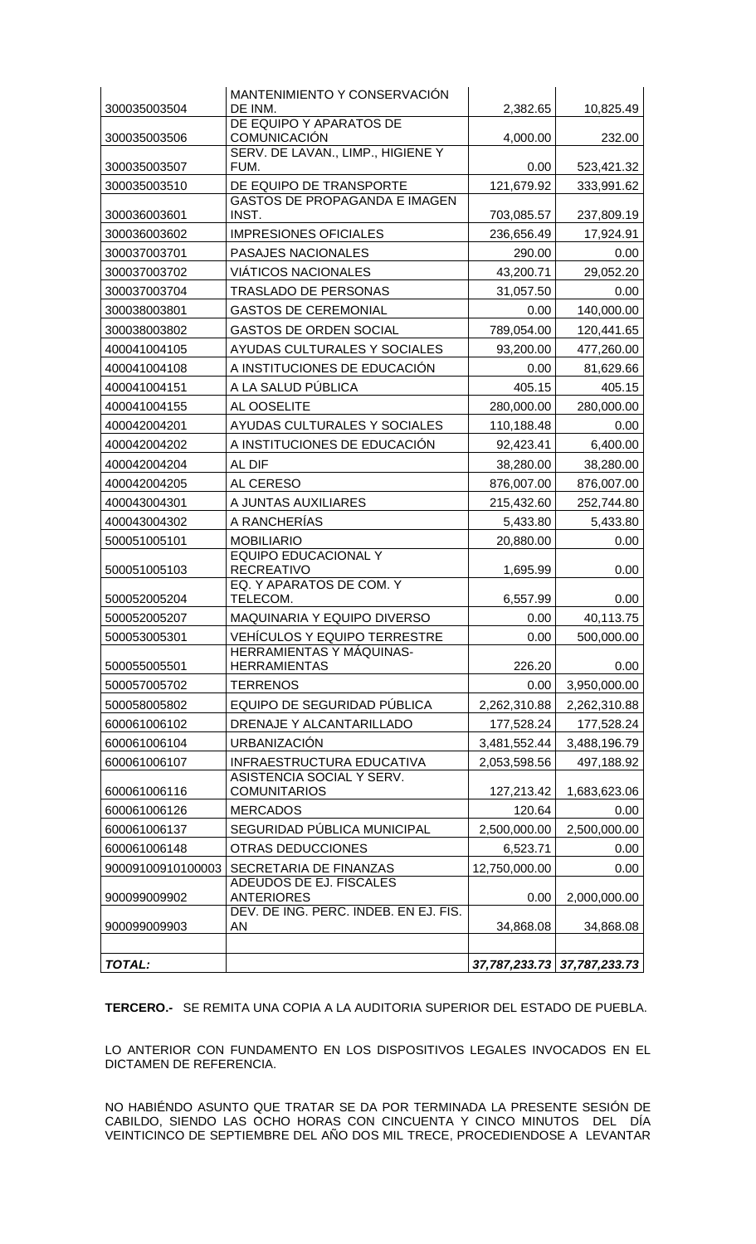| 300035003504      | MANTENIMIENTO Y CONSERVACIÓN<br>DE INM.                    | 2,382.65      | 10,825.49                   |
|-------------------|------------------------------------------------------------|---------------|-----------------------------|
|                   | DE EQUIPO Y APARATOS DE                                    |               |                             |
| 300035003506      | <b>COMUNICACIÓN</b>                                        | 4,000.00      | 232.00                      |
| 300035003507      | SERV. DE LAVAN., LIMP., HIGIENE Y<br>FUM.                  | 0.00          | 523,421.32                  |
| 300035003510      | DE EQUIPO DE TRANSPORTE                                    | 121,679.92    | 333,991.62                  |
| 300036003601      | GASTOS DE PROPAGANDA E IMAGEN<br>INST.                     | 703,085.57    | 237,809.19                  |
| 300036003602      | <b>IMPRESIONES OFICIALES</b>                               | 236,656.49    | 17,924.91                   |
| 300037003701      | PASAJES NACIONALES                                         | 290.00        | 0.00                        |
| 300037003702      | <b>VIÁTICOS NACIONALES</b>                                 | 43,200.71     | 29,052.20                   |
| 300037003704      | <b>TRASLADO DE PERSONAS</b>                                | 31,057.50     | 0.00                        |
| 300038003801      | <b>GASTOS DE CEREMONIAL</b>                                | 0.00          | 140,000.00                  |
| 300038003802      | <b>GASTOS DE ORDEN SOCIAL</b>                              | 789,054.00    | 120,441.65                  |
| 400041004105      | AYUDAS CULTURALES Y SOCIALES                               | 93,200.00     | 477,260.00                  |
| 400041004108      | A INSTITUCIONES DE EDUCACIÓN                               | 0.00          | 81,629.66                   |
| 400041004151      | A LA SALUD PÚBLICA                                         | 405.15        | 405.15                      |
| 400041004155      | AL OOSELITE                                                | 280,000.00    | 280,000.00                  |
| 400042004201      | AYUDAS CULTURALES Y SOCIALES                               | 110,188.48    | 0.00                        |
| 400042004202      | A INSTITUCIONES DE EDUCACIÓN                               | 92,423.41     | 6,400.00                    |
| 400042004204      | AL DIF                                                     | 38,280.00     | 38,280.00                   |
| 400042004205      | AL CERESO                                                  | 876,007.00    | 876,007.00                  |
| 400043004301      | A JUNTAS AUXILIARES                                        | 215,432.60    | 252,744.80                  |
| 400043004302      | A RANCHERÍAS                                               | 5,433.80      | 5,433.80                    |
| 500051005101      | <b>MOBILIARIO</b>                                          | 20,880.00     | 0.00                        |
| 500051005103      | <b>EQUIPO EDUCACIONAL Y</b><br><b>RECREATIVO</b>           | 1,695.99      | 0.00                        |
|                   | EQ. Y APARATOS DE COM. Y                                   |               |                             |
| 500052005204      | TELECOM.                                                   | 6,557.99      | 0.00                        |
| 500052005207      | MAQUINARIA Y EQUIPO DIVERSO                                | 0.00          | 40,113.75                   |
| 500053005301      | VEHÍCULOS Y EQUIPO TERRESTRE                               | 0.00          | 500,000.00                  |
| 500055005501      | HERRAMIENTAS Y MÁQUINAS-<br><b>HERRAMIENTAS</b>            | 226.20        | 0.00                        |
| 500057005702      | <b>TERRENOS</b>                                            | 0.00          | 3,950,000.00                |
| 500058005802      | EQUIPO DE SEGURIDAD PÚBLICA                                | 2,262,310.88  | 2,262,310.88                |
| 600061006102      | DRENAJE Y ALCANTARILLADO                                   | 177,528.24    | 177,528.24                  |
| 600061006104      | <b>URBANIZACIÓN</b>                                        | 3,481,552.44  | 3,488,196.79                |
| 600061006107      | INFRAESTRUCTURA EDUCATIVA                                  | 2,053,598.56  | 497,188.92                  |
| 600061006116      | ASISTENCIA SOCIAL Y SERV.<br><b>COMUNITARIOS</b>           | 127,213.42    | 1,683,623.06                |
| 600061006126      | <b>MERCADOS</b>                                            | 120.64        | 0.00                        |
| 600061006137      | SEGURIDAD PÚBLICA MUNICIPAL                                | 2,500,000.00  | 2,500,000.00                |
| 600061006148      | OTRAS DEDUCCIONES                                          | 6,523.71      | 0.00                        |
| 90009100910100003 | SECRETARIA DE FINANZAS                                     | 12,750,000.00 | 0.00                        |
|                   | ADEUDOS DE EJ. FISCALES                                    |               |                             |
| 900099009902      | <b>ANTERIORES</b><br>DEV. DE ING. PERC. INDEB. EN EJ. FIS. | 0.00          | 2,000,000.00                |
| 900099009903      | AN                                                         | 34,868.08     | 34,868.08                   |
|                   |                                                            |               |                             |
| TOTAL:            |                                                            |               | 37,787,233.73 37,787,233.73 |

**TERCERO.-** SE REMITA UNA COPIA A LA AUDITORIA SUPERIOR DEL ESTADO DE PUEBLA.

LO ANTERIOR CON FUNDAMENTO EN LOS DISPOSITIVOS LEGALES INVOCADOS EN EL DICTAMEN DE REFERENCIA.

NO HABIÉNDO ASUNTO QUE TRATAR SE DA POR TERMINADA LA PRESENTE SESIÓN DE CABILDO, SIENDO LAS OCHO HORAS CON CINCUENTA Y CINCO MINUTOS DEL DÍA VEINTICINCO DE SEPTIEMBRE DEL AÑO DOS MIL TRECE, PROCEDIENDOSE A LEVANTAR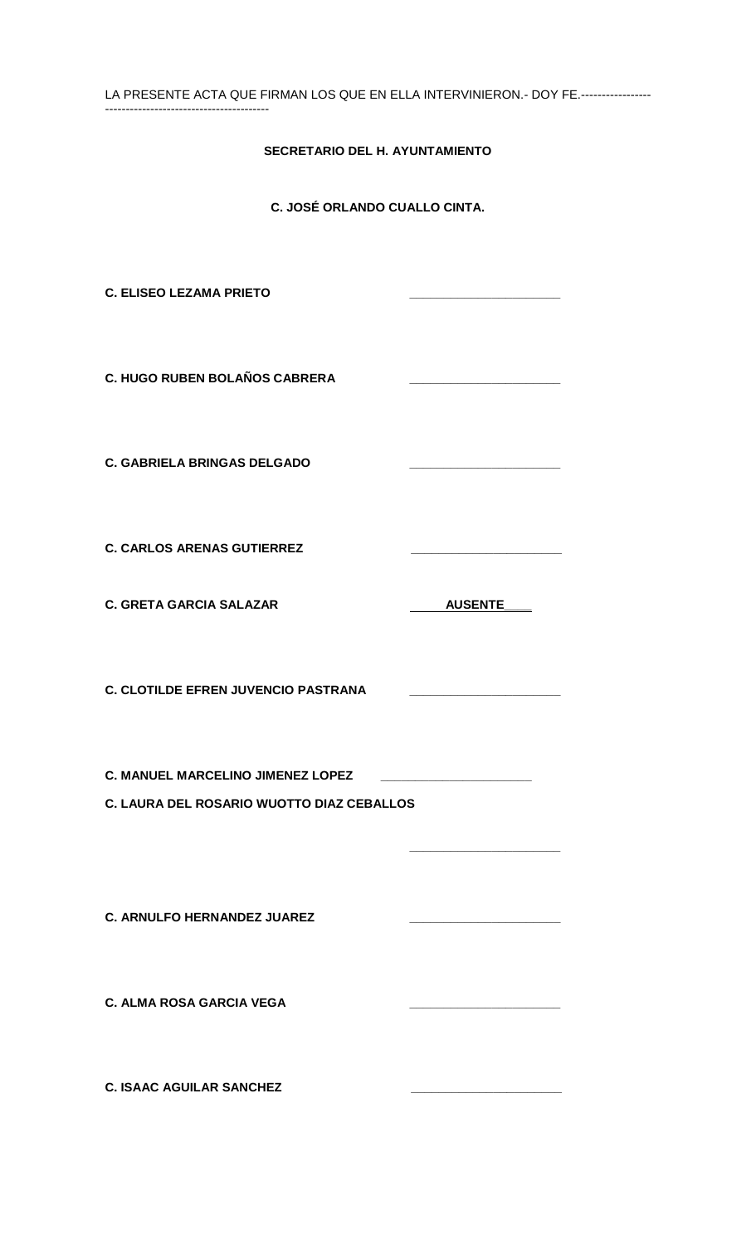| LA PRESENTE ACTA QUE FIRMAN LOS QUE EN ELLA INTERVINIERON. - DOY FE.---------------- |                |  |  |
|--------------------------------------------------------------------------------------|----------------|--|--|
| SECRETARIO DEL H. AYUNTAMIENTO                                                       |                |  |  |
| C. JOSÉ ORLANDO CUALLO CINTA.                                                        |                |  |  |
| <b>C. ELISEO LEZAMA PRIETO</b>                                                       |                |  |  |
| C. HUGO RUBEN BOLAÑOS CABRERA                                                        |                |  |  |
| <b>C. GABRIELA BRINGAS DELGADO</b>                                                   |                |  |  |
| <b>C. CARLOS ARENAS GUTIERREZ</b>                                                    |                |  |  |
| <b>C. GRETA GARCIA SALAZAR</b>                                                       | <b>AUSENTE</b> |  |  |
| <b>C. CLOTILDE EFREN JUVENCIO PASTRANA</b>                                           |                |  |  |
| C. MANUEL MARCELINO JIMENEZ LOPEZ                                                    |                |  |  |
| C. LAURA DEL ROSARIO WUOTTO DIAZ CEBALLOS                                            |                |  |  |
| <b>C. ARNULFO HERNANDEZ JUAREZ</b>                                                   |                |  |  |
| <b>C. ALMA ROSA GARCIA VEGA</b>                                                      |                |  |  |
|                                                                                      |                |  |  |

**C. ISAAC AGUILAR SANCHEZ \_\_\_\_\_\_\_\_\_\_\_\_\_\_\_\_\_\_\_\_\_\_**